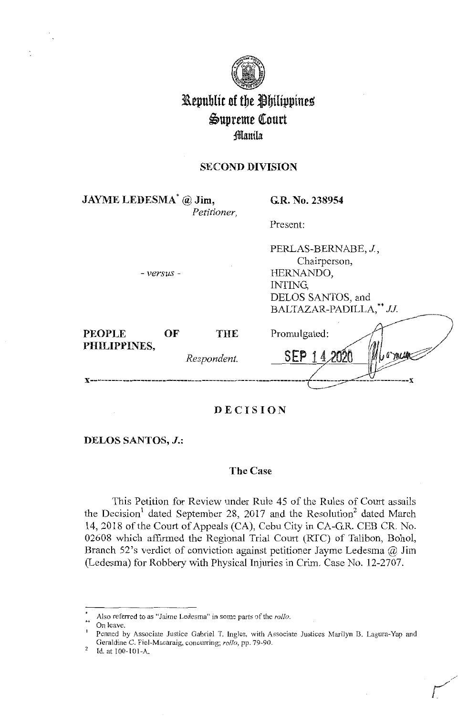

# Kepublic of the Philippines Supreme Court ;ffianila:

# **SECOND DIVISION**

**JAYME LEDESMA\*** @ **Jim,**  *Petitioner,* 

**G.R. No. 238954** 

Present:

- *versus* -

PERLAS-BERNABE, J., Chairperson, HERNANDO, INTING, DELOS SANTOS, and BALTAZAR-PADILLA,\*\* JJ.

*r-*

| <b>PEOPLE</b> | OF | THE         | Promulgated: |
|---------------|----|-------------|--------------|
| PHILIPPINES,  |    | Respondent. |              |
|               |    |             |              |

# **DECISION**

**DELOS SANTOS, J.:** 

#### **The Case**

This Petition for Review under Rule 45 of the Rules of Court assails the Decision<sup>1</sup> dated September 28, 2017 and the Resolution<sup>2</sup> dated March 14, 2018 of the Court of Appeals (CA), Cebu City in CA-G.R. CEB CR. No. 02608 which affirmed the Regional Trial Court (RTC) of Talibon, Bohol, Branch 52's verdict of conviction against petitioner Jayme Ledesma@ Jim (Ledesma) for Robbery with Physical Injuries in Crim. Case No. 12-2707.

Also referred to as "Jaime Ledesma" in some parts of the *rollo*.

On leave.

Penned by Associate Justice Gabriel T. Ingles, with Associate Justices Marilyn B. Lagura-Yap and Geraldine C. Piel-Macaraig, concurring; *rollo,* pp. 79-90.

Id. at 100-101-A.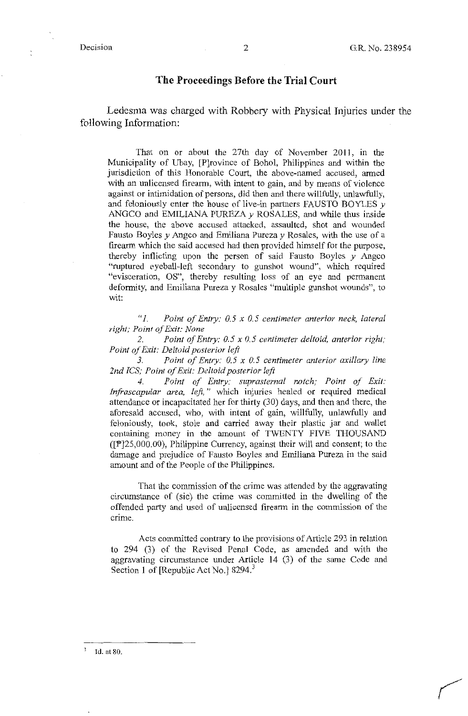-~

#### **The Proceedings Before the Trial Court**

Ledesma was charged with Robbery with Physical Injuries under the following Information:

That on or about the 27th day of November 2011, in the Municipality of Ubay, [P]rovince of Bohol, Philippines and within the jurisdiction of this Honorable Court, the above-named accused, armed with an unlicensed firearm, with intent to gain, and by means of violence against or intimidation of persons, did then and there willfully, unlawfully, and feloniously enter the house of live-in partners FAUSTO BOYLES *<sup>y</sup>* ANGCO and EMILIANA PUREZA *y* ROSALES, and while thus inside the house, the above accused attacked, assaulted, shot and wounded Fausto Boyles *y* Angco and Emiliana Pureza *y* Rosales, with the use of a firearm which the said accused had then provided himself for the purpose, thereby inflicting upon the person of said Fausto Boyles *y* Angco "ruptured eyeball-left secondary to gunshot wound", which required "evisceration, OS", thereby resulting loss of an eye and permanent deformity, and Emiliana Pureza y Rosales "multiple gunshot wounds", to wit:

*"l. Point of Entry: 0.5 x 0.5 centimeter anterior neck, lateral right; Point of Exit: None* 

*2. Point of Entry: 0. 5 x 0. 5 centimeter deltoid, anterior right; Point of Exit: Deltoid posterior left* 

*3. Point of Entry: 0. 5 x 0. 5 centimeter anterior axillary line 2nd JCS; Point of Exit: Deltoid posterior left* 

*4. Point of Entry: suprasternal notch; Point of Exit: Infrascapular area, left,* " which injuries healed or required medical attendance or incapacitated her for thirty (30) days, and then and there, the aforesaid accused, who, with intent of gain, willfully, unlawfully and feloniously, took, stole and carried away their plastic jar and wallet containing money in the amount of TWENTY FIVE THOUSAND  $([P]25,000.00)$ , Philippine Currency, against their will and consent; to the damage and prejudice of Fausto Boyles and Emiliana Pureza in the said amount and of the People of the Philippines.

That the commission of the crime was attended by the aggravating circumstance of (sic) the crime was committed in the dwelling of the offended party and used of unlicensed firearm in the commission of the crime.

Acts committed contrary to the provisions of Article 293 in relation to 294 (3) of the Revised Penal Code, as amended and with the aggravating circumstance under Article 14 (3) of the same Code and Section 1 of [Republic Act No.] 8294.<sup>3</sup>

<sup>3</sup>Id. at 80.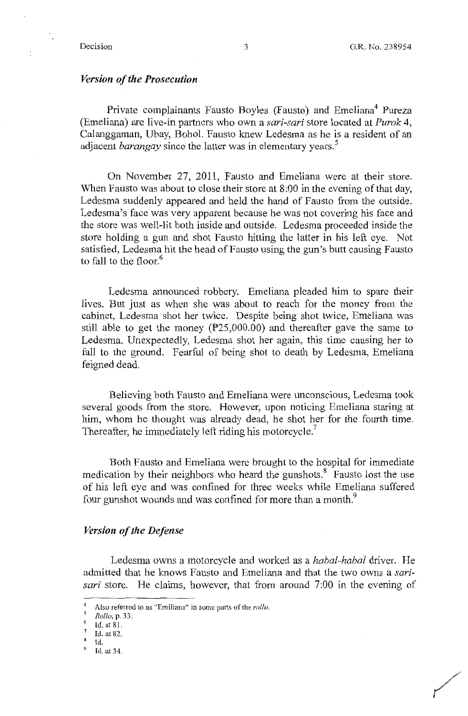/

### *Version of the Prosecution*

Private complainants Fausto Boyles (Fausto) and Emeliana<sup>4</sup> Pureza (Emeliana) are live-in partners who own a *sari-sari* store located at *Purok* 4, Calanggaman, Ubay, Bohol. Fausto knew Ledesma as he is a resident of an adjacent *barangay* since the latter was in elementary years.<sup>5</sup>

On November 27, 2011, Fausto and Emeliana were at their store. When Fausto was about to close their store at 8:00 in the evening of that day, Ledesma suddenly appeared and held the hand of Fausto from the outside. Ledesma's face was very apparent because he was not covering his face and the store was well-lit both inside and outside. Ledesma proceeded inside the store holding a gun and shot Fausto hitting the latter in his left eye. Not satisfied, Ledesma hit the head of Fausto using the gun's butt causing Fausto to fall to the floor.<sup>6</sup>

Ledesma announced robbery. Emeliana pleaded him to spare their lives. But just as when she was about to reach for the money from the cabinet, Ledesma shot her twice. Despite being shot twice, Emeliana was still able to get the money ( $P25,000.00$ ) and thereafter gave the same to Ledesma. Unexpectedly, Ledesma shot her again, this time causing her to fall to the ground. Fearful of being shot to death by Ledesma, Emeliana feigned dead.

Believing both Fausto and Emeliana were unconscious, Ledesma took several goods from the store. However, upon noticing Emeliana staring at him, whom he thought was already dead, he shot her for the fourth time. Thereafter, he immediately left riding his motorcycle.<sup>7</sup>

Both Fausto and Emeliana were brought to the hospital for immediate medication by their neighbors who heard the gunshots.<sup>8</sup> Fausto lost the use of his left eye and was confined for three weeks while Emeliana suffered four gunshot wounds and was confined for more than a month.<sup>9</sup>

#### *Version of the Defense*

Ledesma owns a motorcycle and worked as a *habal-habal* driver. He admitted that he knows Fausto and Emeliana and that the two owns a *sarisari* store. He claims, however, that from around 7:00 in the evening of

*Rollo,* p. 33.

Also referred to as "Emiliana" in some parts of the *rollo*.

Id. at 81.

<sup>7</sup>Id. at 82.  $\bf{8}$ 

Id.

Id. at 34.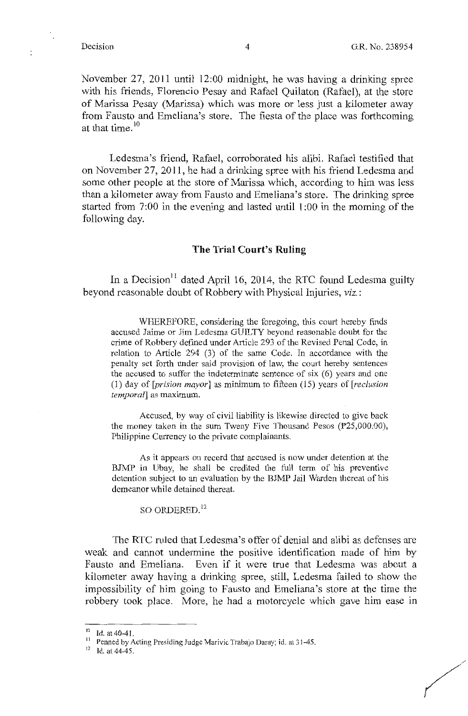November 27, 2011 until 12:00 midnight, he was having a drinking spree with his friends, Florencio Pesay and Rafael Quilaton (Rafael), at the store of Marissa Pesay (Marissa) which was more or less just a kilometer away from Fausto and Emeliana's store. The fiesta of the place was forthcoming at that time. $10<sup>10</sup>$ 

Ledesma's friend, Rafael, corroborated his alibi. Rafael testified that on November 27, 2011, he had a drinking spree with his friend Ledesma and some other people at the store of Marissa which, according to him was less than a kilometer away from Fausto and Emeliana's store. The drinking spree started from 7:00 in the evening and lasted until 1 :00 in the morning of the following day.

### **The Trial Court's Ruling**

In a Decision<sup>11</sup> dated April 16, 2014, the RTC found Ledesma guilty beyond reasonable doubt of Robbery with Physical Injuries, *viz.:* 

WHEREFORE, considering the foregoing, this court hereby finds accused Jaime or Jim Ledesma GUILTY beyond reasonable doubt for the crime of Robbery defined under Article 293 of the Revised Penal Code, in relation to Article 294 (3) of the same Code. In accordance with the penalty set forth under said provision of law, the court hereby sentences the accused to suffer the indeterminate sentence of six (6) years and one (1) day of *[prision mayor]* as minimum to fifteen (15) years of *[reclusion temporal]* as maximum.

Accused, by way of civil liability is likewise directed to give back the money taken in the sum Tweny Five Thousand Pesos (P25,000.00), Philippine Currency to the private complainants.

As it appears on record that accused is now under detention at the BJMP in Ubay, he shall be credited the full term of his preventive detention subject to an evaluation by the BJMP Jail Warden thereat of his demeanor while detained thereat.

SO ORDERED.<sup>12</sup>

The **RTC** ruled that Ledesma's offer of denial and alibi as defenses are weak and cannot undermine the positive identification made of him by Fausto and Emeliana. Even if it were true that Ledesma was about a kilometer away having a drinking spree, still, Ledesma failed to show the impossibility of him going to Fausto and Emeliana's store at the time the robbery took place. More, he had a motorcycle which gave him ease in

 $10$  Id. at 40-41.

<sup>11</sup> Penned by Acting Presiding Judge Marivic Trabajo Daray; id. at 31-45.

 $12$  Id. at 44-45.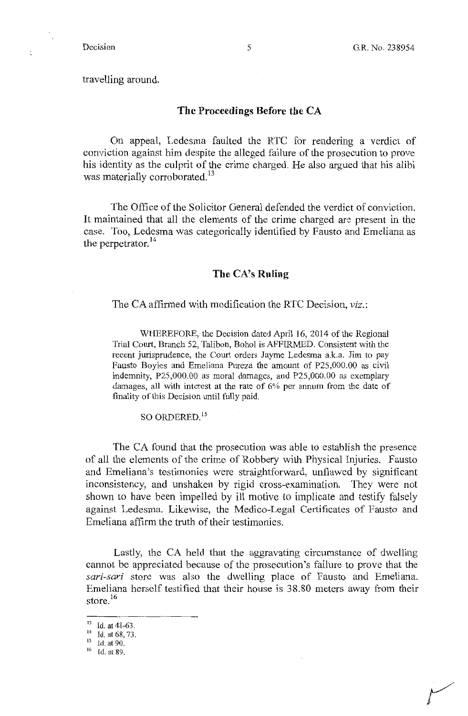*r* 

travelling around.

### **The Proceedings Before the CA**

On appeal, Ledesma faulted the RTC for rendering a verdict of conviction against him despite the alleged failure of the prosecution to prove his identity as the culprit of the crime charged. He also argued that his alibi was materially corroborated.<sup>13</sup>

The Office of the Solicitor General defended the verdict of conviction. It maintained that all the elements of the crime charged are present in the case. Too, Ledesma was categorically identified by Fausto and Emeliana as the perpetrator.<sup>14</sup>

#### **The CA's Ruling**

The CA affirmed with modification the RTC Decision, *viz.:* 

WHEREFORE, the Decision dated April 16, 2014 of the Regional Trial Court, Branch 52, Talibon, Bohol is AFFIRMED. Consistent with the recent jurisprudence, the Court orders Jayme Ledesma a.k.a. Jim to pay Fausto Boyles and Emeliana Pureza the amount of P25,000.00 as civil indenmity, P25,000.00 as moral damages, and P25,000.00 as exemplary damages, all with interest at the rate of 6% per annum from the date of finality of this Decision until fully paid.

SO ORDERED.<sup>15</sup>

The CA found that the prosecution was able to establish the presence of all the elements of the crime of Robbery with Physical Injuries. Fausto and Emeliana's testimonies were straightforward, unflawed by significant inconsistency, and unshaken by rigid cross-examination. They were not shown to have been impelled by ill motive to implicate and testify falsely against Ledesma. Likewise, the Medico-Legal Certificates of Fausto and Emeliana affirm the truth of their testimonies.

Lastly, the CA held that the aggravating circumstance of dwelling cannot be appreciated because of the prosecution's failure to prove that the *sari-sari* store was also the dwelling place of Fausto and Emeliana. Emeliana herself testified that their house is 38.80 meters away from their store.<sup>16</sup>

<sup>&</sup>lt;sup>13</sup> Id. at 48-63.

<sup>14</sup> Id. at 68, 73.

<sup>&</sup>lt;sup>15</sup> Id. at 90.

<sup>16</sup> Id. at 89.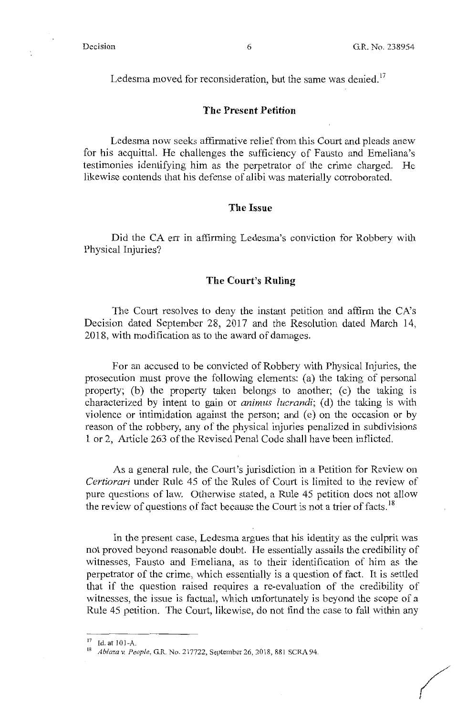*(/* 

Ledesma moved for reconsideration, but the same was denied.<sup>17</sup>

#### **The Present Petition**

Ledesma now seeks affirmative relief from this Court and pleads anew for his acquittal. He challenges the sufficiency of Fausto and Emeliana's testimonies identifying him as the perpetrator of the crime charged. He likewise contends that his defense of alibi was materially corroborated.

# **The Issue**

Did the CA err in affirming Ledesma's conviction for Robbery with Physical Injuries?

### **The Court's Ruling**

The Court resolves to deny the instant petition and affirm the CA's Decision dated September 28, 2017 and the Resolution dated March 14, 2018, with modification as to the award of damages.

For an accused to be convicted of Robbery with Physical Injuries, the prosecution must prove the following elements: (a) the taking of personal property; (b) the property taken belongs to another; (c) the taking is characterized by intent to gain or *animus lucrandi*; (d) the taking is with violence or intimidation against the person; and (e) on the occasion or by reason of the robbery, any of the physical injuries penalized in subdivisions 1 or 2, Article 263 of the Revised Penal Code shall have been inflicted.

As a general rule, the Court's jurisdiction in a Petition for Review on *Certiorari* under Rule 45 of the Rules of Court is limited to the review of pure questions of law. Otherwise stated, a Rule 45 petition does not allow the review of questions of fact because the Court is not a trier of facts.<sup>18</sup>

In the present case, Ledesma argues that his identity as the culprit was not proved beyond reasonable doubt. He essentially assails the credibility of witnesses, Fausto and Emeliana, as to their identification of him as the perpetrator of the crime, which essentially is a question of fact. It is settled that if the question raised requires a re-evaluation of the credibility of witnesses, the issue is factual, which unfortunately is beyond the scope of a Rule 45 petition. The Court, likewise, do not find the case to fall within any

<sup>&</sup>lt;sup>17</sup> Id. at 101-A.

<sup>18</sup>*Ablaza* v. *People,* G.R. No. 217722, September 26, 2018, 881 SCRA 94.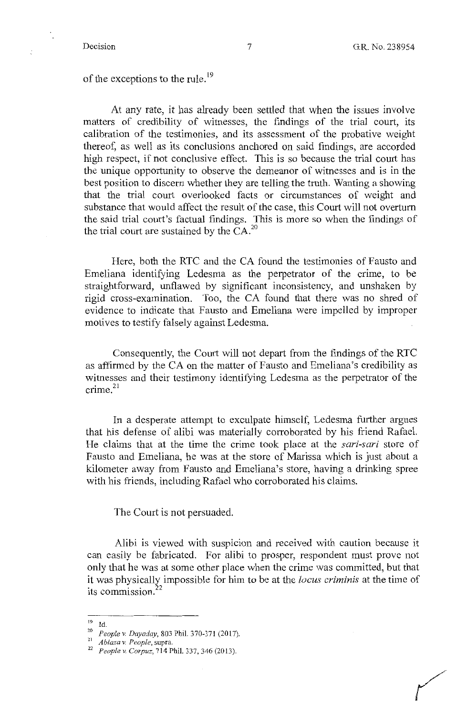*(* 

of the exceptions to the rule.<sup>19</sup>

At any rate, it has already been settled that when the issues involve matters of credibility of witnesses, the findings of the trial court, its calibration of the testimonies, and its assessment of the probative weight thereof, as well as its conclusions anchored on said findings, are accorded high respect, if not conclusive effect. This is so because the trial court has the unique opportunity to observe the demeanor of witnesses and is in the best position to discern whether they are telling the truth. Wanting a showing that the trial court overlooked facts or circumstances of weight and substance that would affect the result of the case, this Court will not overturn the said trial court's factual findings. This is more so when the findings of the trial court are sustained by the  $CA.^{20}$ 

Here, both the RTC and the CA found the testimonies of Fausto and Emeliana identifying Ledesma as the perpetrator of the crime, to be straightforward, unflawed by significant inconsistency, and unshaken by rigid cross-examination. Too, the CA found that there was no shred of evidence to indicate that Fausto and Emeliana were impelled by improper motives to testify falsely against Ledesma.

Consequently, the Court will not depart from the findings of the RTC as affinned by the CA on the matter of Fausto and Emeliana's credibility as witnesses and their testimony identifying Ledesma as the perpetrator of the  $\text{ crime.}^{21}$ 

In a desperate attempt to exculpate himself, Ledesma further argues that his defense of alibi was materially corroborated by his friend Rafael. He claims that at the time the crime took place at the *sari-sari* store of Fausto and Emeliana, he was at the store of Marissa which is just about a kilometer away from Fausto and Emeliana's store, having a drinking spree with his friends, including Rafael who corroborated his claims.

The Court is not persuaded.

Alibi is viewed with suspicion and received with caution because it can easily be fabricated. For alibi to prosper, respondent must prove not only that he was at some other place when the crime was committed, but that it was physically impossible for him to be at the *locus criminis* at the time of its commission.<sup>2</sup>

**<sup>19</sup>Id.** 

<sup>20</sup>*People v. Dayaday,* 803 Phil. 370-371 (2017).

<sup>21</sup>*Ablaza v. People,* **supra.** 

<sup>22</sup>*People v. Corpuz,* 714 Phil. 337,346 (2013).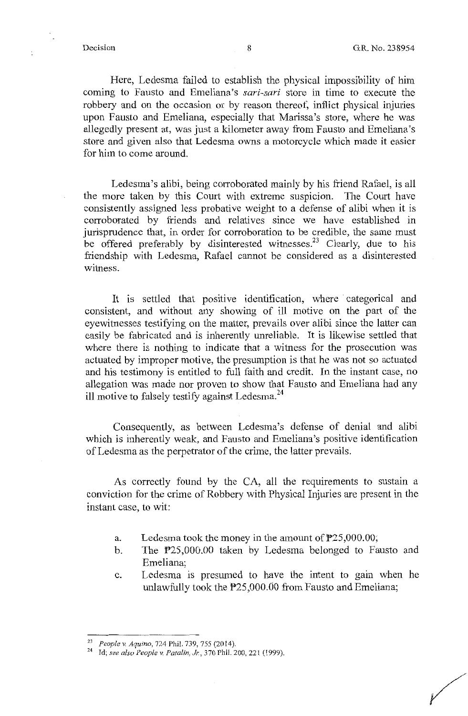/

Here, Ledesma failed to establish the physical impossibility of him coming to Fausto and Emeliana's *sari-sari* store in time to execute the robbery and on the occasion or by reason thereof, inflict physical injuries upon Fausto and Emeliana, especially that Marissa's store, where he was allegedly present at, was just a kilometer away from Fausto and Emeliana's store and given also that Ledesma owns a motorcycle which made it easier for him to come around.

Ledesma's alibi, being corroborated mainly by his friend Rafael, is all the more taken by this Court with extreme suspicion. The Court have consistently assigned less probative weight to a defense of alibi when it is corroborated by friends and relatives since we have established in jurisprudence that, in order for corroboration to be credible, the same must be offered preferably by disinterested witnesses.<sup>23</sup> Clearly, due to his friendship with Ledesma, Rafael cannot be considered as a disinterested witness.

It is settled that positive identification, where categorical and consistent, and without any showing of ill motive on the part of the eyewitnesses testifying on the matter, prevails over alibi since the latter can easily be fabricated and is inherently unreliable. It is likewise settled that where there is nothing to indicate that a witness for the prosecution was actuated by improper motive, the presumption is that he was not so actuated and his testimony is entitled to full faith and credit. In the instant case, no allegation was made nor proven to show that Fausto and Emeliana had any ill motive to falsely testify against Ledesma. <sup>24</sup>

Consequently, as between Ledesma's defense of denial and alibi which is inherently weak, and Fausto and Emeliana's positive identification of Ledesma as the perpetrator of the crime, the latter prevails.

As correctly found by the CA, all the requirements to sustain a conviction for the crime of Robbery with Physical Injuries are present in the instant case, to wit:

- a. Ledesma took the money in the amount of  $P25,000.00;$
- b. The P25,000.00 taken by Ledesma belonged to Fausto and Emeliana;
- c. Ledesma is presumed to have the intent to gain when he unlawfully took the P25,000.00 from Fausto and Emeliana;

<sup>23</sup>*People v. Aquino,* 724 Phil. 739, 755 (2014).

<sup>&</sup>lt;sup>24</sup> Id; see also People v. Patalin, Jr., 370 Phil. 200, 221 (1999).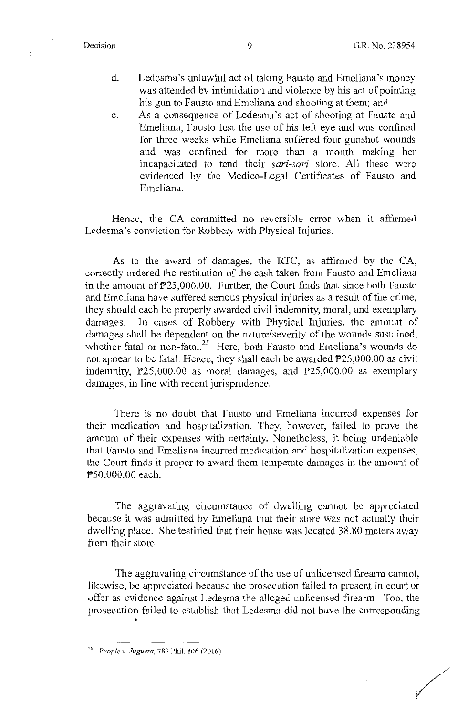- d. Ledesma's unlawful act of taking Fausto and Emeliana's money was attended by intimidation and violence by his act of pointing his gun to Fausto and Emeliana and shooting at them; and
- e. As a consequence of Ledesma's act of shooting at Fausto and Emeliana, Fausto lost the use of his left eye and was confined for three weeks while Emeliana suffered four gunshot wounds and was confined for more than a month making her incapacitated to tend their *sari-sari* store. All these were evidenced by the Medico-Legal Certificates of Fausto and Emeliana.

Hence, the CA committed no reversible error when it affirmed Ledesma's conviction for Robbery with Physical Injuries.

As to the award of damages, the RTC, as affirmed by the CA, correctly ordered the restitution of the cash taken from Fausto and Emeliana in the amount of  $P25,000.00$ . Further, the Court finds that since both Fausto and Emeliana have suffered serious physical injuries as a result of the crime, they should each be properly awarded civil indemnity, moral, and exemplary damages. In cases of Robbery with Physical Injuries, the amount of damages shall be dependent on the nature/severity of the wounds sustained, whether fatal or non-fatal.<sup>25</sup> Here, both Fausto and Emeliana's wounds do not appear to be fatal. Hence, they shall each be awarded  $\overline{P}25,000.00$  as civil indemnity,  $P25,000.00$  as moral damages, and  $P25,000.00$  as exemplary damages, in line with recent jurisprudence.

There is no doubt that Fausto and Emeliana incurred expenses for their medication and hospitalization. They, however, failed to prove the amount of their expenses with certainty. Nonetheless, it being undeniable that Fausto and Emeliana incurred medication and hospitalization expenses, the Court finds it proper to award them temperate damages in the amount of P50,000.00 each.

The aggravating circumstance of dwelling cannot be appreciated because it was admitted by Erneliana that their store was not actually their dwelling place. She testified that their house was located 38.80 meters away from their store.

The aggravating circumstance of the use of unlicensed firearm cannot, likewise, be appreciated because the prosecution failed to present in court or offer as evidence against Ledesma the alleged unlicensed firearm. Too, the prosecution failed to establish that Ledesma did not have the corresponding

.

/

<sup>25</sup>*People v. Jugueta,* 783 Phil. 806 (20!6).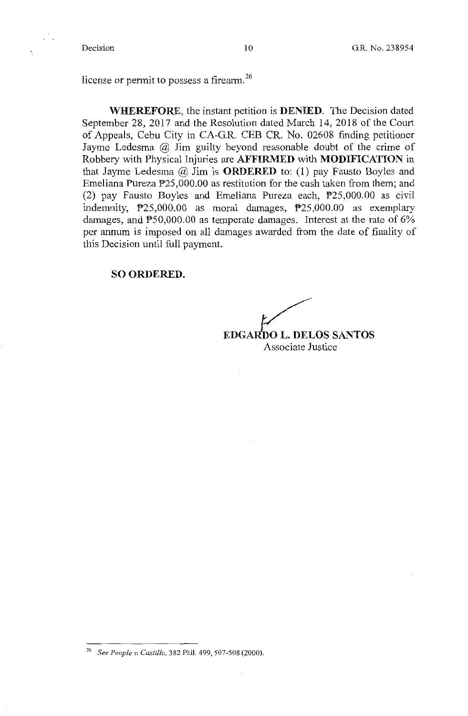license or permit to possess a firearm.<sup>26</sup>

**WHEREFORE,** the instant petition is **DENIED.** The Decision dated September 28, 2017 and the Resolution dated March 14, 2018 of the Court of Appeals, Cebu City in CA-G.R. CEB CR. No. 02608 fmding petitioner Jayme Ledesma @ Jim guilty beyond reasonable doubt of the crime of Robbery with Physical Injuries are **AFFIRMED** with **MODIFICATION in**  that Jayme Ledesma @ Jim is **ORDERED** to: (1) pay Fausto Boyles and Emeliana Pureza P25,000.00 as restitution for the cash taken from them; and (2) pay Fausto Boyles and Emeliana Pureza each, P25,000.00 as civil indemnity, P25,000.00 as moral damages, P25,000.00 as exemplary damages, and  $P50,000.00$  as temperate damages. Interest at the rate of  $6\%$ per annum is imposed on all damages awarded from the date of finality of this Decision until full payment.

#### **SO ORDERED.**

**EDGAR£o L. DELOS SANTOS**  Associate Justice

<sup>26</sup> See *People v. Castillo,* 382 Phil. 499, 507-508 (2000).